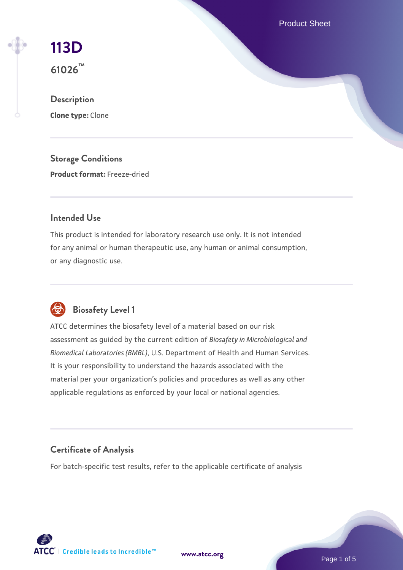Product Sheet



# **Description Clone type:** Clone

**Storage Conditions Product format:** Freeze-dried

# **Intended Use**

This product is intended for laboratory research use only. It is not intended for any animal or human therapeutic use, any human or animal consumption, or any diagnostic use.



# **Biosafety Level 1**

ATCC determines the biosafety level of a material based on our risk assessment as guided by the current edition of *Biosafety in Microbiological and Biomedical Laboratories (BMBL)*, U.S. Department of Health and Human Services. It is your responsibility to understand the hazards associated with the material per your organization's policies and procedures as well as any other applicable regulations as enforced by your local or national agencies.

# **Certificate of Analysis**

For batch-specific test results, refer to the applicable certificate of analysis

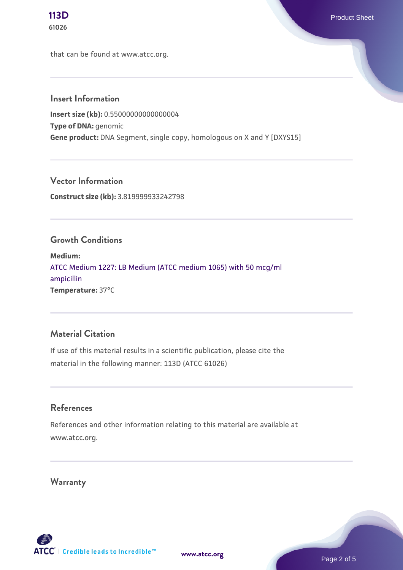that can be found at www.atcc.org.

### **Insert Information**

**Insert size (kb):** 0.55000000000000004 **Type of DNA:** genomic **Gene product:** DNA Segment, single copy, homologous on X and Y [DXYS15]

**Vector Information Construct size (kb):** 3.819999933242798

#### **Growth Conditions**

**Medium:**  [ATCC Medium 1227: LB Medium \(ATCC medium 1065\) with 50 mcg/ml](https://www.atcc.org/-/media/product-assets/documents/microbial-media-formulations/1/2/2/7/atcc-medium-1227.pdf?rev=581c98603b3e4b29a6d62ee0ba9ca578) [ampicillin](https://www.atcc.org/-/media/product-assets/documents/microbial-media-formulations/1/2/2/7/atcc-medium-1227.pdf?rev=581c98603b3e4b29a6d62ee0ba9ca578) **Temperature:** 37°C

#### **Material Citation**

If use of this material results in a scientific publication, please cite the material in the following manner: 113D (ATCC 61026)

#### **References**

References and other information relating to this material are available at www.atcc.org.

**Warranty**

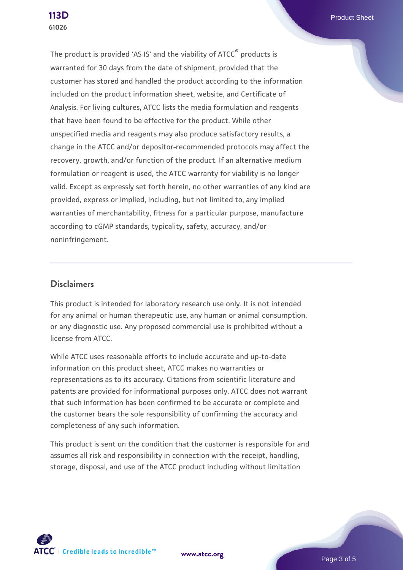**[113D](https://www.atcc.org/products/61026)** Product Sheet

The product is provided 'AS IS' and the viability of ATCC® products is warranted for 30 days from the date of shipment, provided that the customer has stored and handled the product according to the information included on the product information sheet, website, and Certificate of Analysis. For living cultures, ATCC lists the media formulation and reagents that have been found to be effective for the product. While other unspecified media and reagents may also produce satisfactory results, a change in the ATCC and/or depositor-recommended protocols may affect the recovery, growth, and/or function of the product. If an alternative medium formulation or reagent is used, the ATCC warranty for viability is no longer valid. Except as expressly set forth herein, no other warranties of any kind are provided, express or implied, including, but not limited to, any implied warranties of merchantability, fitness for a particular purpose, manufacture according to cGMP standards, typicality, safety, accuracy, and/or noninfringement.

#### **Disclaimers**

This product is intended for laboratory research use only. It is not intended for any animal or human therapeutic use, any human or animal consumption, or any diagnostic use. Any proposed commercial use is prohibited without a license from ATCC.

While ATCC uses reasonable efforts to include accurate and up-to-date information on this product sheet, ATCC makes no warranties or representations as to its accuracy. Citations from scientific literature and patents are provided for informational purposes only. ATCC does not warrant that such information has been confirmed to be accurate or complete and the customer bears the sole responsibility of confirming the accuracy and completeness of any such information.

This product is sent on the condition that the customer is responsible for and assumes all risk and responsibility in connection with the receipt, handling, storage, disposal, and use of the ATCC product including without limitation



**[www.atcc.org](http://www.atcc.org)**

Page 3 of 5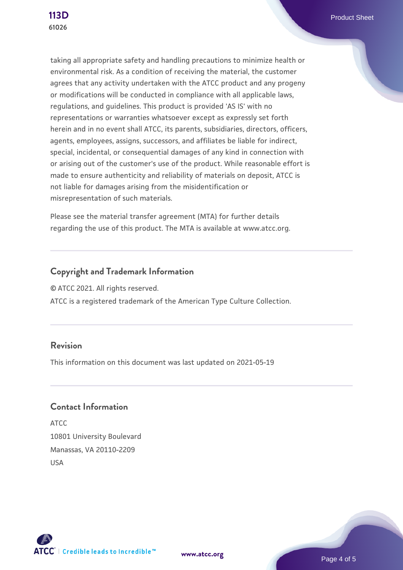taking all appropriate safety and handling precautions to minimize health or environmental risk. As a condition of receiving the material, the customer agrees that any activity undertaken with the ATCC product and any progeny or modifications will be conducted in compliance with all applicable laws, regulations, and guidelines. This product is provided 'AS IS' with no representations or warranties whatsoever except as expressly set forth herein and in no event shall ATCC, its parents, subsidiaries, directors, officers, agents, employees, assigns, successors, and affiliates be liable for indirect, special, incidental, or consequential damages of any kind in connection with or arising out of the customer's use of the product. While reasonable effort is made to ensure authenticity and reliability of materials on deposit, ATCC is not liable for damages arising from the misidentification or misrepresentation of such materials.

Please see the material transfer agreement (MTA) for further details regarding the use of this product. The MTA is available at www.atcc.org.

# **Copyright and Trademark Information**

© ATCC 2021. All rights reserved.

ATCC is a registered trademark of the American Type Culture Collection.

# **Revision**

This information on this document was last updated on 2021-05-19

#### **Contact Information**

ATCC 10801 University Boulevard Manassas, VA 20110-2209 USA